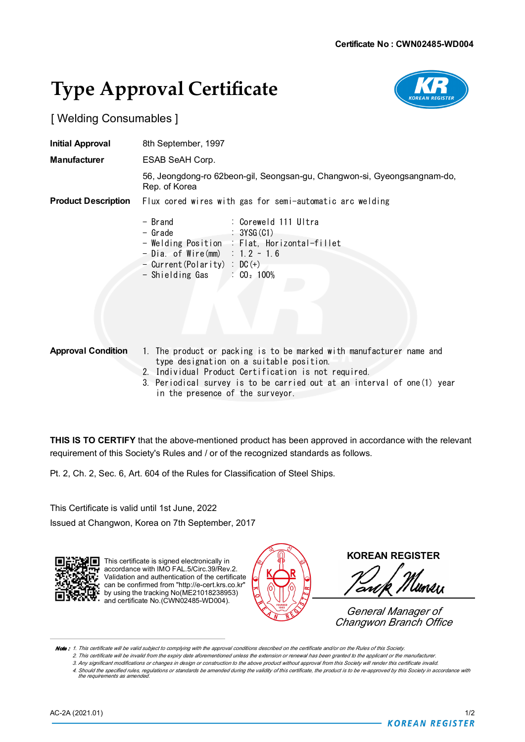# **Type Approval Certificate**



[ Welding Consumables ]

| <b>Initial Approval</b>    | 8th September, 1997                                                                                                                                                                                               |
|----------------------------|-------------------------------------------------------------------------------------------------------------------------------------------------------------------------------------------------------------------|
| <b>Manufacturer</b>        | ESAB SeAH Corp.                                                                                                                                                                                                   |
|                            | 56, Jeongdong-ro 62beon-gil, Seongsan-gu, Changwon-si, Gyeongsangnam-do,<br>Rep. of Korea                                                                                                                         |
| <b>Product Description</b> | Flux cored wires with gas for semi-automatic arc welding                                                                                                                                                          |
|                            | - Brand<br>: Coreweld 111 Ultra<br>- Grade<br>: 3YSG(G1)<br>- Welding Position : Flat, Horizontal-fillet<br>$-$ Dia. of Wire(mm) : 1.2 ~ 1.6<br>- Current (Polarity) : $DC (+)$<br>$-$ Shielding Gas : $CO2$ 100% |

- **Approval Condition** 1. The product or packing is to be marked with manufacturer name and type designation on a suitable position.
	- 2. Individual Product Certification is not required.
	- 3. Periodical survey is to be carried out at an interval of one(1) year in the presence of the surveyor.

**THIS IS TO CERTIFY** that the above-mentioned product has been approved in accordance with the relevant requirement of this Society's Rules and / or of the recognized standards as follows.

Pt. 2, Ch. 2, Sec. 6, Art. 604 of the Rules for Classification of Steel Ships.

This Certificate is valid until 1st June, 2022

Issued at Changwon, Korea on 7th September, 2017



This certificate is signed electronically in accordance with IMO FAL.5/Circ.39/Rev.2 Validation and authentication of the certificate can be confirmed from "http://e-cert.krs.co.kr" by using the tracking No(ME21018238953) and certificate No.(CWN02485-WD004).



**KOREAN REGISTER**

UMAII ow

*General Manager of Changwon Branch Office*

Note: 1. This certificate will be valid subject to complying with the approval conditions described on the certificate and/or on the Rules of this Society.

2. This certificate will be invalid from the expiry date aforementioned unless the extension or renewal has been granted to the applicant or the manufacturer

3. Any significant modifications or changes in design or construction to the above product without approval from this Society will render this certificate invalid. 4. Should the specified rules, regulations or standards be amended during the validity of this certificate, the product is to be re-approved by this Society in accordance with *the requirements as amended.*